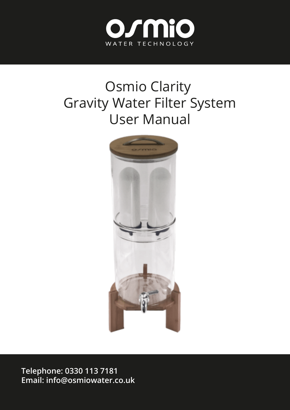

# Osmio Clarity Gravity Water Filter System User Manual



**Telephone: 0330 113 7181 Email: info@osmiowater.co.uk**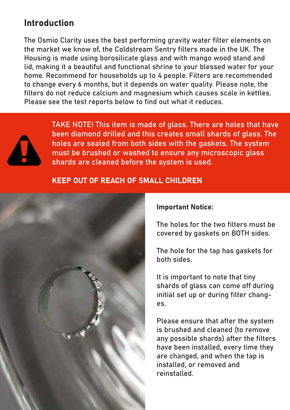#### Introduction

The Osmio Clarity uses the best performing gravity water filter elements on the market we know of, the Coldstream Sentry filters made in the UK. The Housing is made using borosilicate glass and with mango wood stand and lid, making it a beautiful and functional shrine to your blessed water for your home. Recommend for households up to 4 people. Filters are recommended to change every 6 months, but it depends on water quality. Please note, the filters do not reduce calcium and magnesium which causes scale in kettles. Please see the test reports below to find out what it reduces.



TAKE NOTE! This item is made of glass. There are holes that have been diamond drilled and this creates small shards of glass. The holes are sealed from both sides with the gaskets. The system must be brushed or washed to ensure any microscopic glass shards are cleaned before the system is used.

#### KEEP OUT OF REACH OF SMALL CHILDREN



#### Important Notice:

The holes for the two filters must be covered by gaskets on BOTH sides.

The hole for the tap has gaskets for both sides.

It is important to note that tiny shards of glass can come off during initial set up or during filter changes.

Please ensure that after the system is brushed and cleaned (to remove any possible shards) after the filters have been installed, every time they are changed, and when the tap is installed, or removed and reinstalled.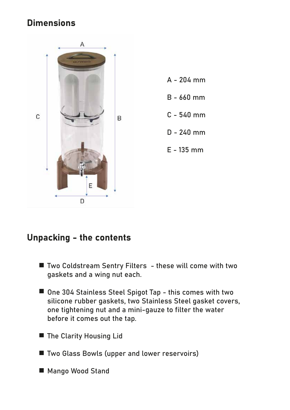# **Dimensions**



# Unpacking - the contents

- Two Coldstream Sentry Filters these will come with two gaskets and a wing nut each.
- One 304 Stainless Steel Spigot Tap this comes with two silicone rubber gaskets, two Stainless Steel gasket covers, one tightening nut and a mini-gauze to filter the water before it comes out the tap.
- The Clarity Housing Lid
- Two Glass Bowls (upper and lower reservoirs)
- Mango Wood Stand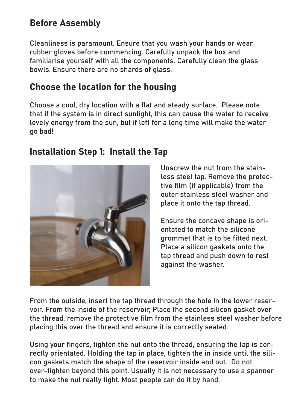# Before Assembly

Cleanliness is paramount. Ensure that you wash your hands or wear rubber gloves before commencing. Carefully unpack the box and familiarise yourself with all the components. Carefully clean the glass bowls. Ensure there are no shards of glass.

# Choose the location for the housing

Choose a cool, dry location with a flat and steady surface. Please note that if the system is in direct sunlight, this can cause the water to receive lovely energy from the sun, but if left for a long time will make the water go bad!

#### Installation Step 1: Install the Tap



Unscrew the nut from the stainless steel tap. Remove the protective film (if applicable) from the outer stainless steel washer and place it onto the tap thread.

Ensure the concave shape is orientated to match the silicone grommet that is to be fitted next. Place a silicon gaskets onto the tap thread and push down to rest against the washer.

From the outside, insert the tap thread through the hole in the lower reservoir. From the inside of the reservoir; Place the second silicon gasket over the thread, remove the protective film from the stainless steel washer before placing this over the thread and ensure it is correctly seated.

Using your fingers, tighten the nut onto the thread, ensuring the tap is correctly orientated. Holding the tap in place, tighten the in inside until the silicon gaskets match the shape of the reservoir inside and out. Do not over-tighten beyond this point. Usually it is not necessary to use a spanner to make the nut really tight. Most people can do it by hand.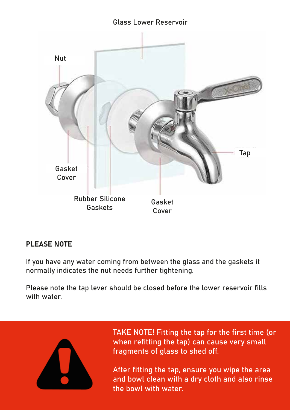#### Glass Lower Reservoir



#### PLEASE NOTE

If you have any water coming from between the glass and the gaskets it normally indicates the nut needs further tightening.

Please note the tap lever should be closed before the lower reservoir fills with water



TAKE NOTE! Fitting the tap for the first time (or when refitting the tap) can cause very small fragments of glass to shed off.

After fitting the tap, ensure you wipe the area and bowl clean with a dry cloth and also rinse the bowl with water.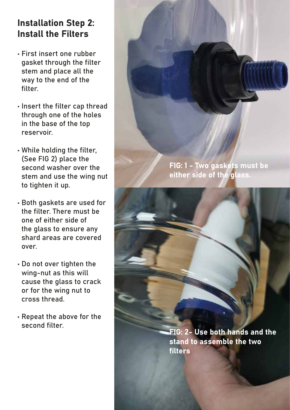# **Installation Step 2:** Install the Filters

- First insert one rubber gasket through the filter stem and place all the way to the end of the filter.
- Insert the filter cap thread through one of the holes in the base of the top reservoir.
- While holding the filter, (See FIG 2) place the second washer over the stem and use the wing nut to tighten it up.
- Both gaskets are used for the filter. There must be one of either side of the glass to ensure any shard areas are covered over.
- Do not over tighten the wing-nut as this will cause the glass to crack or for the wing nut to cross thread.
- Repeat the above for the second filter.

FIG: 1 - Two gaskets must be either side of the glass.

FIG: 2- Use both hands and the stand to assemble the two filters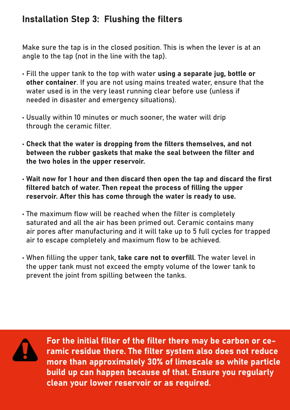# Installation Step 3: Flushing the filters

Make sure the tap is in the closed position. This is when the lever is at an angle to the tap (not in the line with the tap).

- Fill the upper tank to the top with water using a separate jug, bottle or other container. If you are not using mains treated water, ensure that the water used is in the very least running clear before use (unless if needed in disaster and emergency situations).
- Usually within 10 minutes or much sooner, the water will drip through the ceramic filter.
- Check that the water is dropping from the filters themselves, and not between the rubber gaskets that make the seal between the filter and the two holes in the upper reservoir.
- Wait now for 1 hour and then discard then open the tap and discard the first filtered batch of water. Then repeat the process of filling the upper reservoir. After this has come through the water is ready to use.
- The maximum flow will be reached when the filter is completely saturated and all the air has been primed out. Ceramic contains many air pores after manufacturing and it will take up to 5 full cycles for trapped air to escape completely and maximum flow to be achieved.
- When filling the upper tank, take care not to overfill. The water level in the upper tank must not exceed the empty volume of the lower tank to prevent the joint from spilling between the tanks.



For the initial filter of the filter there may be carbon or ceramic residue there. The filter system also does not reduce more than approximately 30% of limescale so white particle build up can happen because of that. Ensure you regularly clean your lower reservoir or as required.